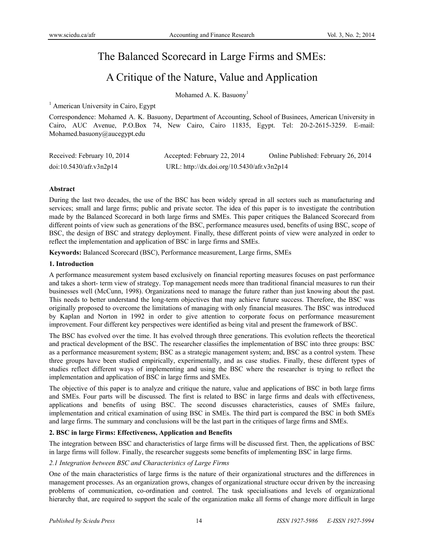# The Balanced Scorecard in Large Firms and SMEs:

# A Critique of the Nature, Value and Application

Mohamed A. K. Basuony<sup>1</sup>

<sup>1</sup> American University in Cairo, Egypt

Correspondence: Mohamed A. K. Basuony, Department of Accounting, School of Businees, American University in Cairo, AUC Avenue, P.O.Box 74, New Cairo, Cairo 11835, Egypt. Tel: 20-2-2615-3259. E-mail: Mohamed.basuony@aucegypt.edu

| Received: February 10, 2014 | Accepted: February 22, 2014                | Online Published: February 26, 2014 |
|-----------------------------|--------------------------------------------|-------------------------------------|
| doi:10.5430/afr.v3n2p14     | URL: http://dx.doi.org/10.5430/afr.v3n2p14 |                                     |

#### **Abstract**

During the last two decades, the use of the BSC has been widely spread in all sectors such as manufacturing and services; small and large firms; public and private sector. The idea of this paper is to investigate the contribution made by the Balanced Scorecard in both large firms and SMEs. This paper critiques the Balanced Scorecard from different points of view such as generations of the BSC, performance measures used, benefits of using BSC, scope of BSC, the design of BSC and strategy deployment. Finally, these different points of view were analyzed in order to reflect the implementation and application of BSC in large firms and SMEs.

**Keywords:** Balanced Scorecard (BSC), Performance measurement, Large firms, SMEs

#### **1. Introduction**

A performance measurement system based exclusively on financial reporting measures focuses on past performance and takes a short- term view of strategy. Top management needs more than traditional financial measures to run their businesses well (McCunn, 1998). Organizations need to manage the future rather than just knowing about the past. This needs to better understand the long-term objectives that may achieve future success. Therefore, the BSC was originally proposed to overcome the limitations of managing with only financial measures. The BSC was introduced by Kaplan and Norton in 1992 in order to give attention to corporate focus on performance measurement improvement. Four different key perspectives were identified as being vital and present the framework of BSC.

The BSC has evolved over the time. It has evolved through three generations. This evolution reflects the theoretical and practical development of the BSC. The researcher classifies the implementation of BSC into three groups: BSC as a performance measurement system; BSC as a strategic management system; and, BSC as a control system. These three groups have been studied empirically, experimentally, and as case studies. Finally, these different types of studies reflect different ways of implementing and using the BSC where the researcher is trying to reflect the implementation and application of BSC in large firms and SMEs.

The objective of this paper is to analyze and critique the nature, value and applications of BSC in both large firms and SMEs. Four parts will be discussed. The first is related to BSC in large firms and deals with effectiveness, applications and benefits of using BSC. The second discusses characteristics, causes of SMEs failure, implementation and critical examination of using BSC in SMEs. The third part is compared the BSC in both SMEs and large firms. The summary and conclusions will be the last part in the critiques of large firms and SMEs.

## **2. BSC in large Firms: Effectiveness, Application and Benefits**

The integration between BSC and characteristics of large firms will be discussed first. Then, the applications of BSC in large firms will follow. Finally, the researcher suggests some benefits of implementing BSC in large firms.

#### *2.1 Integration between BSC and Characteristics of Large Firms*

One of the main characteristics of large firms is the nature of their organizational structures and the differences in management processes. As an organization grows, changes of organizational structure occur driven by the increasing problems of communication, co-ordination and control. The task specialisations and levels of organizational hierarchy that, are required to support the scale of the organization make all forms of change more difficult in large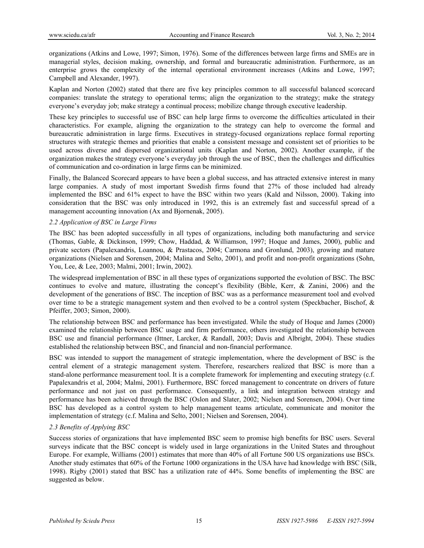organizations (Atkins and Lowe, 1997; Simon, 1976). Some of the differences between large firms and SMEs are in managerial styles, decision making, ownership, and formal and bureaucratic administration. Furthermore, as an enterprise grows the complexity of the internal operational environment increases (Atkins and Lowe, 1997; Campbell and Alexander, 1997).

Kaplan and Norton (2002) stated that there are five key principles common to all successful balanced scorecard companies: translate the strategy to operational terms; align the organization to the strategy; make the strategy everyone's everyday job; make strategy a continual process; mobilize change through executive leadership.

These key principles to successful use of BSC can help large firms to overcome the difficulties articulated in their characteristics. For example, aligning the organization to the strategy can help to overcome the formal and bureaucratic administration in large firms. Executives in strategy-focused organizations replace formal reporting structures with strategic themes and priorities that enable a consistent message and consistent set of priorities to be used across diverse and dispersed organizational units (Kaplan and Norton, 2002). Another example, if the organization makes the strategy everyone's everyday job through the use of BSC, then the challenges and difficulties of communication and co-ordination in large firms can be minimized.

Finally, the Balanced Scorecard appears to have been a global success, and has attracted extensive interest in many large companies. A study of most important Swedish firms found that 27% of those included had already implemented the BSC and 61% expect to have the BSC within two years (Kald and Nilsson, 2000). Taking into consideration that the BSC was only introduced in 1992, this is an extremely fast and successful spread of a management accounting innovation (Ax and Bjornenak, 2005).

#### *2.2 Application of BSC in Large Firms*

The BSC has been adopted successfully in all types of organizations, including both manufacturing and service (Thomas, Gable, & Dickinson, 1999; Chow, Haddad, & Williamson, 1997; Hoque and James, 2000), public and private sectors (Papalexandris, Loannou, & Prastacos, 2004; Carmona and Gronlund, 2003), growing and mature organizations (Nielsen and Sorensen, 2004; Malina and Selto, 2001), and profit and non-profit organizations (Sohn, You, Lee, & Lee, 2003; Malmi, 2001; Irwin, 2002).

The widespread implementation of BSC in all these types of organizations supported the evolution of BSC. The BSC continues to evolve and mature, illustrating the concept's flexibility (Bible, Kerr, & Zanini, 2006) and the development of the generations of BSC. The inception of BSC was as a performance measurement tool and evolved over time to be a strategic management system and then evolved to be a control system (Speckbacher, Bischof, & Pfeiffer, 2003; Simon, 2000).

The relationship between BSC and performance has been investigated. While the study of Hoque and James (2000) examined the relationship between BSC usage and firm performance, others investigated the relationship between BSC use and financial performance (Ittner, Larcker, & Randall, 2003; Davis and Albright, 2004). These studies established the relationship between BSC, and financial and non-financial performance.

BSC was intended to support the management of strategic implementation, where the development of BSC is the central element of a strategic management system. Therefore, researchers realized that BSC is more than a stand-alone performance measurement tool. It is a complete framework for implementing and executing strategy (c.f. Papalexandris et al, 2004; Malmi, 2001). Furthermore, BSC forced management to concentrate on drivers of future performance and not just on past performance. Consequently, a link and integration between strategy and performance has been achieved through the BSC (Oslon and Slater, 2002; Nielsen and Sorensen, 2004). Over time BSC has developed as a control system to help management teams articulate, communicate and monitor the implementation of strategy (c.f. Malina and Selto, 2001; Nielsen and Sorensen, 2004).

### *2.3 Benefits of Applying BSC*

Success stories of organizations that have implemented BSC seem to promise high benefits for BSC users. Several surveys indicate that the BSC concept is widely used in large organizations in the United States and throughout Europe. For example, Williams (2001) estimates that more than 40% of all Fortune 500 US organizations use BSCs. Another study estimates that 60% of the Fortune 1000 organizations in the USA have had knowledge with BSC (Silk, 1998). Rigby (2001) stated that BSC has a utilization rate of 44%. Some benefits of implementing the BSC are suggested as below.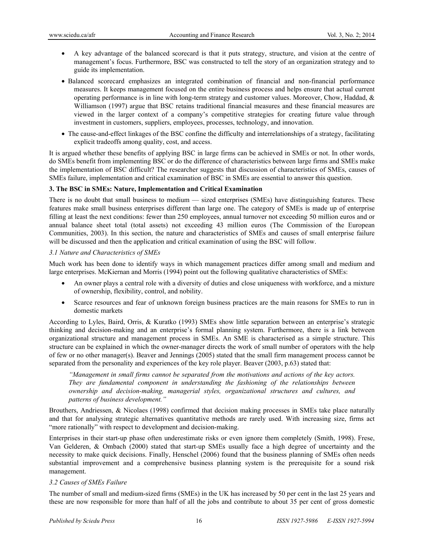- A key advantage of the balanced scorecard is that it puts strategy, structure, and vision at the centre of management's focus. Furthermore, BSC was constructed to tell the story of an organization strategy and to guide its implementation.
- Balanced scorecard emphasizes an integrated combination of financial and non-financial performance measures. It keeps management focused on the entire business process and helps ensure that actual current operating performance is in line with long-term strategy and customer values. Moreover, Chow, Haddad, & Williamson (1997) argue that BSC retains traditional financial measures and these financial measures are viewed in the larger context of a company's competitive strategies for creating future value through investment in customers, suppliers, employees, processes, technology, and innovation.
- The cause-and-effect linkages of the BSC confine the difficulty and interrelationships of a strategy, facilitating explicit tradeoffs among quality, cost, and access.

It is argued whether these benefits of applying BSC in large firms can be achieved in SMEs or not. In other words, do SMEs benefit from implementing BSC or do the difference of characteristics between large firms and SMEs make the implementation of BSC difficult? The researcher suggests that discussion of characteristics of SMEs, causes of SMEs failure, implementation and critical examination of BSC in SMEs are essential to answer this question.

#### **3. The BSC in SMEs: Nature, Implementation and Critical Examination**

There is no doubt that small business to medium — sized enterprises (SMEs) have distinguishing features. These features make small business enterprises different than large one. The category of SMEs is made up of enterprise filling at least the next conditions: fewer than 250 employees, annual turnover not exceeding 50 million euros and or annual balance sheet total (total assets) not exceeding 43 million euros (The Commission of the European Communities, 2003). In this section, the nature and characteristics of SMEs and causes of small enterprise failure will be discussed and then the application and critical examination of using the BSC will follow.

#### *3.1 Nature and Characteristics of SMEs*

Much work has been done to identify ways in which management practices differ among small and medium and large enterprises. McKiernan and Morris (1994) point out the following qualitative characteristics of SMEs:

- An owner plays a central role with a diversity of duties and close uniqueness with workforce, and a mixture of ownership, flexibility, control, and nobility.
- Scarce resources and fear of unknown foreign business practices are the main reasons for SMEs to run in domestic markets

According to Lyles, Baird, Orris, & Kuratko (1993) SMEs show little separation between an enterprise's strategic thinking and decision-making and an enterprise's formal planning system. Furthermore, there is a link between organizational structure and management process in SMEs. An SME is characterised as a simple structure. This structure can be explained in which the owner-manager directs the work of small number of operators with the help of few or no other manager(s). Beaver and Jennings (2005) stated that the small firm management process cannot be separated from the personality and experiences of the key role player. Beaver (2003, p.63) stated that:

*"Management in small firms cannot be separated from the motivations and actions of the key actors. They are fundamental component in understanding the fashioning of the relationships between ownership and decision-making, managerial styles, organizational structures and cultures, and patterns of business development."* 

Brouthers, Andriessen, & Nicolaes (1998) confirmed that decision making processes in SMEs take place naturally and that for analysing strategic alternatives quantitative methods are rarely used. With increasing size, firms act "more rationally" with respect to development and decision-making.

Enterprises in their start-up phase often underestimate risks or even ignore them completely (Smith, 1998). Frese, Van Gelderen, & Ombach (2000) stated that start-up SMEs usually face a high degree of uncertainty and the necessity to make quick decisions. Finally, Henschel (2006) found that the business planning of SMEs often needs substantial improvement and a comprehensive business planning system is the prerequisite for a sound risk management.

#### *3.2 Causes of SMEs Failure*

The number of small and medium-sized firms (SMEs) in the UK has increased by 50 per cent in the last 25 years and these are now responsible for more than half of all the jobs and contribute to about 35 per cent of gross domestic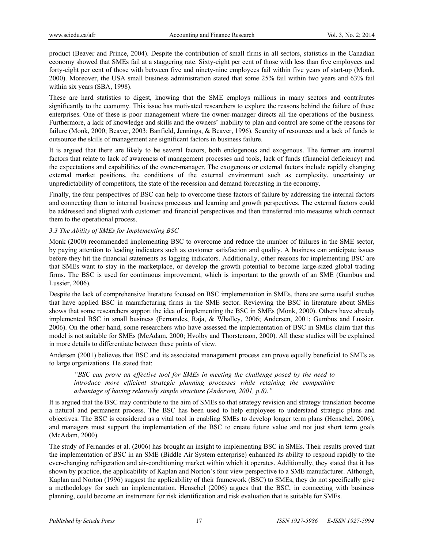product (Beaver and Prince, 2004). Despite the contribution of small firms in all sectors, statistics in the Canadian economy showed that SMEs fail at a staggering rate. Sixty-eight per cent of those with less than five employees and forty-eight per cent of those with between five and ninety-nine employees fail within five years of start-up (Monk, 2000). Moreover, the USA small business administration stated that some 25% fail within two years and 63% fail within six years (SBA, 1998).

These are hard statistics to digest, knowing that the SME employs millions in many sectors and contributes significantly to the economy. This issue has motivated researchers to explore the reasons behind the failure of these enterprises. One of these is poor management where the owner-manager directs all the operations of the business. Furthermore, a lack of knowledge and skills and the owners' inability to plan and control are some of the reasons for failure (Monk, 2000; Beaver, 2003; Banfield, Jennings, & Beaver, 1996). Scarcity of resources and a lack of funds to outsource the skills of management are significant factors in business failure.

It is argued that there are likely to be several factors, both endogenous and exogenous. The former are internal factors that relate to lack of awareness of management processes and tools, lack of funds (financial deficiency) and the expectations and capabilities of the owner-manager. The exogenous or external factors include rapidly changing external market positions, the conditions of the external environment such as complexity, uncertainty or unpredictability of competitors, the state of the recession and demand forecasting in the economy.

Finally, the four perspectives of BSC can help to overcome these factors of failure by addressing the internal factors and connecting them to internal business processes and learning and growth perspectives. The external factors could be addressed and aligned with customer and financial perspectives and then transferred into measures which connect them to the operational process.

### *3.3 The Ability of SMEs for Implementing BSC*

Monk (2000) recommended implementing BSC to overcome and reduce the number of failures in the SME sector, by paying attention to leading indicators such as customer satisfaction and quality. A business can anticipate issues before they hit the financial statements as lagging indicators. Additionally, other reasons for implementing BSC are that SMEs want to stay in the marketplace, or develop the growth potential to become large-sized global trading firms. The BSC is used for continuous improvement, which is important to the growth of an SME (Gumbus and Lussier, 2006).

Despite the lack of comprehensive literature focused on BSC implementation in SMEs, there are some useful studies that have applied BSC in manufacturing firms in the SME sector. Reviewing the BSC in literature about SMEs shows that some researchers support the idea of implementing the BSC in SMEs (Monk, 2000). Others have already implemented BSC in small business (Fernandes, Raja, & Whalley, 2006; Andersen, 2001; Gumbus and Lussier, 2006). On the other hand, some researchers who have assessed the implementation of BSC in SMEs claim that this model is not suitable for SMEs (McAdam, 2000; Hvolby and Thorstenson, 2000). All these studies will be explained in more details to differentiate between these points of view.

Andersen (2001) believes that BSC and its associated management process can prove equally beneficial to SMEs as to large organizations. He stated that:

*"BSC can prove an effective tool for SMEs in meeting the challenge posed by the need to introduce more efficient strategic planning processes while retaining the competitive advantage of having relatively simple structure (Andersen, 2001, p.8)."* 

It is argued that the BSC may contribute to the aim of SMEs so that strategy revision and strategy translation become a natural and permanent process. The BSC has been used to help employees to understand strategic plans and objectives. The BSC is considered as a vital tool in enabling SMEs to develop longer term plans (Henschel, 2006), and managers must support the implementation of the BSC to create future value and not just short term goals (McAdam, 2000).

The study of Fernandes et al. (2006) has brought an insight to implementing BSC in SMEs. Their results proved that the implementation of BSC in an SME (Biddle Air System enterprise) enhanced its ability to respond rapidly to the ever-changing refrigeration and air-conditioning market within which it operates. Additionally, they stated that it has shown by practice, the applicability of Kaplan and Norton's four view perspective to a SME manufacturer. Although, Kaplan and Norton (1996) suggest the applicability of their framework (BSC) to SMEs, they do not specifically give a methodology for such an implementation. Henschel (2006) argues that the BSC, in connecting with business planning, could become an instrument for risk identification and risk evaluation that is suitable for SMEs.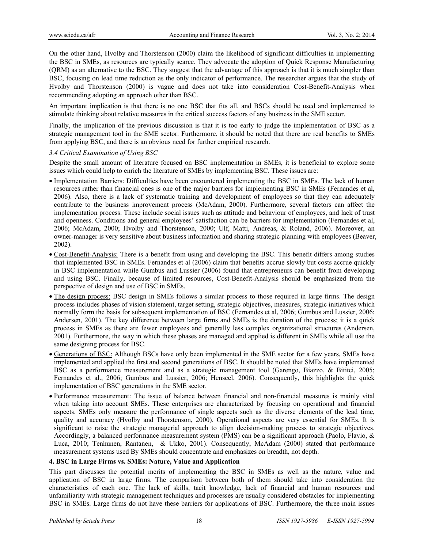On the other hand, Hvolby and Thorstenson (2000) claim the likelihood of significant difficulties in implementing the BSC in SMEs, as resources are typically scarce. They advocate the adoption of Quick Response Manufacturing (QRM) as an alternative to the BSC. They suggest that the advantage of this approach is that it is much simpler than BSC, focusing on lead time reduction as the only indicator of performance. The researcher argues that the study of Hvolby and Thorstenson (2000) is vague and does not take into consideration Cost-Benefit-Analysis when recommending adopting an approach other than BSC.

An important implication is that there is no one BSC that fits all, and BSCs should be used and implemented to stimulate thinking about relative measures in the critical success factors of any business in the SME sector.

Finally, the implication of the previous discussion is that it is too early to judge the implementation of BSC as a strategic management tool in the SME sector. Furthermore, it should be noted that there are real benefits to SMEs from applying BSC, and there is an obvious need for further empirical research.

#### *3.4 Critical Examination of Using BSC*

Despite the small amount of literature focused on BSC implementation in SMEs, it is beneficial to explore some issues which could help to enrich the literature of SMEs by implementing BSC. These issues are:

- Implementation Barriers: Difficulties have been encountered implementing the BSC in SMEs. The lack of human resources rather than financial ones is one of the major barriers for implementing BSC in SMEs (Fernandes et al, 2006). Also, there is a lack of systematic training and development of employees so that they can adequately contribute to the business improvement process (McAdam, 2000). Furthermore, several factors can affect the implementation process. These include social issues such as attitude and behaviour of employees, and lack of trust and openness. Conditions and general employees' satisfaction can be barriers for implementation (Fernandes et al, 2006; McAdam, 2000; Hvolby and Thorstenson, 2000; Ulf, Matti, Andreas, & Roland, 2006). Moreover, an owner-manager is very sensitive about business information and sharing strategic planning with employees (Beaver, 2002).
- Cost-Benefit-Analysis: There is a benefit from using and developing the BSC. This benefit differs among studies that implemented BSC in SMEs. Fernandes et al (2006) claim that benefits accrue slowly but costs accrue quickly in BSC implementation while Gumbus and Lussier (2006) found that entrepreneurs can benefit from developing and using BSC. Finally, because of limited resources, Cost-Benefit-Analysis should be emphasized from the perspective of design and use of BSC in SMEs.
- The design process: BSC design in SMEs follows a similar process to those required in large firms. The design process includes phases of vision statement, target setting, strategic objectives, measures, strategic initiatives which normally form the basis for subsequent implementation of BSC (Fernandes et al, 2006; Gumbus and Lussier, 2006; Andersen, 2001). The key difference between large firms and SMEs is the duration of the process; it is a quick process in SMEs as there are fewer employees and generally less complex organizational structures (Andersen, 2001). Furthermore, the way in which these phases are managed and applied is different in SMEs while all use the same designing process for BSC.
- Generations of BSC: Although BSCs have only been implemented in the SME sector for a few years, SMEs have implemented and applied the first and second generations of BSC. It should be noted that SMEs have implemented BSC as a performance measurement and as a strategic management tool (Garengo, Biazzo, & Bititci, 2005; Fernandes et al., 2006; Gumbus and Lussier, 2006; Henscel, 2006). Consequently, this highlights the quick implementation of BSC generations in the SME sector.
- Performance measurement: The issue of balance between financial and non-financial measures is mainly vital when taking into account SMEs. These enterprises are characterized by focusing on operational and financial aspects. SMEs only measure the performance of single aspects such as the diverse elements of the lead time, quality and accuracy (Hvolby and Thorstenson, 2000). Operational aspects are very essential for SMEs. It is significant to raise the strategic managerial approach to align decision-making process to strategic objectives. Accordingly, a balanced performance measurement system (PMS) can be a significant approach (Paolo, Flavio, & Luca, 2010; Tenhunen, Rantanen, & Ukko, 2001). Consequently, McAdam (2000) stated that performance measurement systems used By SMEs should concentrate and emphasizes on breadth, not depth.

### **4. BSC in Large Firms vs. SMEs: Nature, Value and Application**

This part discusses the potential merits of implementing the BSC in SMEs as well as the nature, value and application of BSC in large firms. The comparison between both of them should take into consideration the characteristics of each one. The lack of skills, tacit knowledge, lack of financial and human resources and unfamiliarity with strategic management techniques and processes are usually considered obstacles for implementing BSC in SMEs. Large firms do not have these barriers for applications of BSC. Furthermore, the three main issues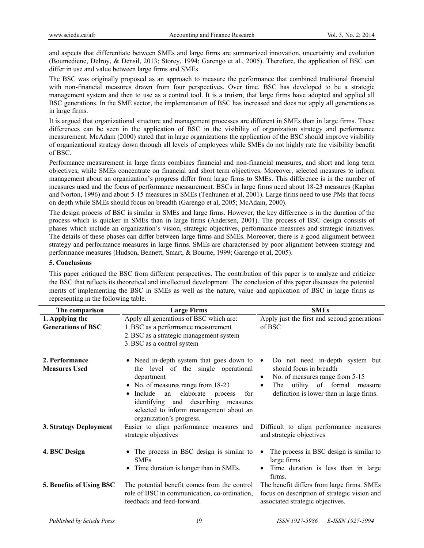and aspects that differentiate between SMEs and large firms are summarized innovation, uncertainty and evolution (Boumediene, Delroy, & Densil, 2013; Storey, 1994; Garengo et al., 2005). Therefore, the application of BSC can differ in use and value between large firms and SMEs.

The BSC was originally proposed as an approach to measure the performance that combined traditional financial with non-financial measures drawn from four perspectives. Over time, BSC has developed to be a strategic management system and then to use as a control tool. It is a truism, that large firms have adopted and applied all BSC generations. In the SME sector, the implementation of BSC has increased and does not apply all generations as in large firms.

It is argued that organizational structure and management processes are different in SMEs than in large firms. These differences can be seen in the application of BSC in the visibility of organization strategy and performance measurement. McAdam (2000) stated that in large organizations the application of the BSC should improve visibility of organizational strategy down through all levels of employees while SMEs do not highly rate the visibility benefit of BSC.

Performance measurement in large firms combines financial and non-financial measures, and short and long term objectives, while SMEs concentrate on financial and short term objectives. Moreover, selected measures to inform management about an organization's progress differ from large firms to SMEs. This difference is in the number of measures used and the focus of performance measurement. BSCs in large firms need about 18-23 measures (Kaplan and Norton, 1996) and about 5-15 measures in SMEs (Tenhunen et al, 2001). Large firms need to use PMs that focus on depth while SMEs should focus on breadth (Garengo et al, 2005; McAdam, 2000).

The design process of BSC is similar in SMEs and large firms. However, the key difference is in the duration of the process which is quicker in SMEs than in large firms (Andersen, 2001). The process of BSC design consists of phases which include an organization's vision, strategic objectives, performance measures and strategic initiatives. The details of these phases can differ between large firms and SMEs. Moreover, there is a good alignment between strategy and performance measures in large firms. SMEs are characterised by poor alignment between strategy and performance measures (Hudson, Bennett, Smart, & Bourne, 1999; Garengo et al, 2005).

#### **5. Conclusions**

This paper critiqued the BSC from different perspectives. The contribution of this paper is to analyze and criticize the BSC that reflects its theoretical and intellectual development. The conclusion of this paper discusses the potential merits of implementing the BSC in SMEs as well as the nature, value and application of BSC in large firms as representing in the following table.

| The comparison                               | <b>Large Firms</b>                                                                                                                                                                                                                                                                                         | <b>SMEs</b>                                                                                                                                                                           |
|----------------------------------------------|------------------------------------------------------------------------------------------------------------------------------------------------------------------------------------------------------------------------------------------------------------------------------------------------------------|---------------------------------------------------------------------------------------------------------------------------------------------------------------------------------------|
| 1. Applying the<br><b>Generations of BSC</b> | Apply all generations of BSC which are:<br>1. BSC as a performance measurement<br>2. BSC as a strategic management system<br>3. BSC as a control system                                                                                                                                                    | Apply just the first and second generations<br>of BSC                                                                                                                                 |
| 2. Performance<br><b>Measures Used</b>       | • Need in-depth system that goes down to<br>the level of the single operational<br>department<br>• No. of measures range from 18-23<br>$\bullet$ Include<br>elaborate<br>an<br>for<br>process<br>identifying and describing measures<br>selected to inform management about an<br>organization's progress. | Do not need in-depth system but<br>should focus in breadth<br>No. of measures range from 5-15<br>٠<br>utility of formal<br>The<br>measure<br>definition is lower than in large firms. |
| 3. Strategy Deployment                       | Easier to align performance measures and<br>strategic objectives                                                                                                                                                                                                                                           | Difficult to align performance measures<br>and strategic objectives                                                                                                                   |
| 4. BSC Design                                | • The process in BSC design is similar to<br><b>SMEs</b><br>Time duration is longer than in SMEs.                                                                                                                                                                                                          | The process in BSC design is similar to<br>large firms<br>Time duration is less than in large<br>firms.                                                                               |
| 5. Benefits of Using BSC                     | The potential benefit comes from the control<br>role of BSC in communication, co-ordination,<br>feedback and feed-forward.                                                                                                                                                                                 | The benefit differs from large firms. SMEs<br>focus on description of strategic vision and<br>associated strategic objectives.                                                        |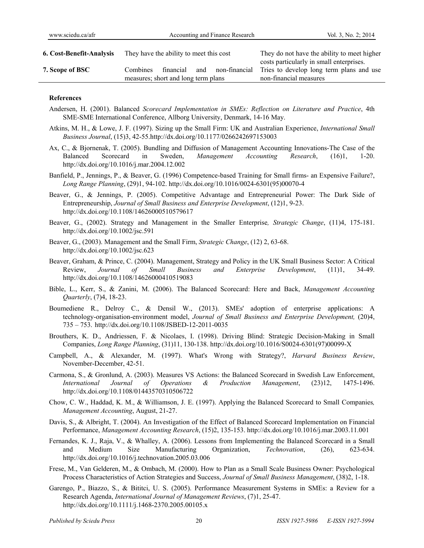| <b>6. Cost-Benefit-Analysis</b> | They have the ability to meet this cost                                              | They do not have the ability to meet higher                                                                    |
|---------------------------------|--------------------------------------------------------------------------------------|----------------------------------------------------------------------------------------------------------------|
| 7. Scope of BSC                 | non-financial<br>financial<br>Combines<br>and<br>measures; short and long term plans | costs particularly in small enterprises.<br>Tries to develop long term plans and use<br>non-financial measures |
|                                 |                                                                                      |                                                                                                                |

#### **References**

- Andersen, H. (2001). Balanced *Scorecard Implementation in SMEs: Reflection on Literature and Practice*, 4th SME-SME International Conference, Allborg University, Denmark, 14-16 May.
- Atkins, M. H., & Lowe, J. F. (1997). Sizing up the Small Firm: UK and Australian Experience, *International Small Business Journal*, (15)3, 42-55.http://dx.doi.org/10.1177/0266242697153003
- Ax, C., & Bjornenak, T. (2005). Bundling and Diffusion of Management Accounting Innovations-The Case of the Balanced Scorecard in Sweden, *Management Accounting Research*, (16)1, 1-20. http://dx.doi.org/10.1016/j.mar.2004.12.002
- Banfield, P., Jennings, P., & Beaver, G. (1996) Competence-based Training for Small firms- an Expensive Failure?, *Long Range Planning*, (29)1, 94-102. http://dx.doi.org/10.1016/0024-6301(95)00070-4
- Beaver, G., & Jennings, P. (2005). Competitive Advantage and Entrepreneurial Power: The Dark Side of Entrepreneurship, *Journal of Small Business and Enterprise Development*, (12)1, 9-23. http://dx.doi.org/10.1108/14626000510579617
- Beaver, G., (2002). Strategy and Management in the Smaller Enterprise*, Strategic Change*, (11)4, 175-181. http://dx.doi.org/10.1002/jsc.591
- Beaver, G., (2003). Management and the Small Firm, *Strategic Change*, (12) 2, 63-68. http://dx.doi.org/10.1002/jsc.623
- Beaver, Graham, & Prince, C. (2004). Management, Strategy and Policy in the UK Small Business Sector: A Critical Review, *Journal of Small Business and Enterprise Development*, (11)1, 34-49. http://dx.doi.org/10.1108/14626000410519083
- Bible, L., Kerr, S., & Zanini, M. (2006). The Balanced Scorecard: Here and Back, *Management Accounting Quarterly*, (7)4, 18-23.
- Boumediene R., Delroy C., & Densil W., (2013). SMEs' adoption of enterprise applications: A technology-organisation-environment model, *Journal of Small Business and Enterprise Development,* (20)4, 735 – 753. http://dx.doi.org/10.1108/JSBED-12-2011-0035
- Brouthers, K. D., Andriessen, F. & Nicolaes, I. (1998). Driving Blind: Strategic Decision-Making in Small Companies, *Long Range Planning*, (31)11, 130-138. http://dx.doi.org/10.1016/S0024-6301(97)00099-X
- Campbell, A., & Alexander, M. (1997). What's Wrong with Strategy?, *Harvard Business Review*, November-December, 42-51.
- Carmona, S., & Gronlund, A. (2003). Measures VS Actions: the Balanced Scorecard in Swedish Law Enforcement, *International Journal of Operations & Production Management*, (23)12, 1475-1496. http://dx.doi.org/10.1108/01443570310506722
- Chow, C. W., Haddad, K. M., & Williamson, J. E. (1997). Applying the Balanced Scorecard to Small Companies*, Management Accounting*, August, 21-27.
- Davis, S., & Albright, T. (2004). An Investigation of the Effect of Balanced Scorecard Implementation on Financial Performance, *Management Accounting Research*, (15)2, 135-153. http://dx.doi.org/10.1016/j.mar.2003.11.001
- Fernandes, K. J., Raja, V., & Whalley, A. (2006). Lessons from Implementing the Balanced Scorecard in a Small and Medium Size Manufacturing Organization, *Technovation*, (26), 623-634. http://dx.doi.org/10.1016/j.technovation.2005.03.006
- Frese, M., Van Gelderen, M., & Ombach, M. (2000). How to Plan as a Small Scale Business Owner: Psychological Process Characteristics of Action Strategies and Success, *Journal of Small Business Management*, (38)2, 1-18.
- Garengo, P., Biazzo, S., & Bititci, U. S. (2005). Performance Measurement Systems in SMEs: a Review for a Research Agenda, *International Journal of Management Reviews*, (7)1, 25-47. http://dx.doi.org/10.1111/j.1468-2370.2005.00105.x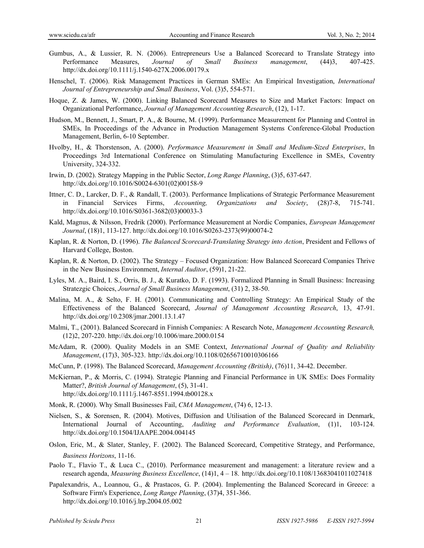- Gumbus, A., & Lussier, R. N. (2006). Entrepreneurs Use a Balanced Scorecard to Translate Strategy into Performance Measures, *Journal of Small Business management*, (44)3, 407-425. http://dx.doi.org/10.1111/j.1540-627X.2006.00179.x
- Henschel, T. (2006). Risk Management Practices in German SMEs: An Empirical Investigation, *International Journal of Entrepreneurship and Small Business*, Vol. (3)5, 554-571.
- Hoque, Z. & James, W. (2000). Linking Balanced Scorecard Measures to Size and Market Factors: Impact on Organizational Performance, *Journal of Management Accounting Research*, (12), 1-17.
- Hudson, M., Bennett, J., Smart, P. A., & Bourne, M. (1999). Performance Measurement for Planning and Control in SMEs, In Proceedings of the Advance in Production Management Systems Conference-Global Production Management, Berlin, 6-10 September.
- Hvolby, H., & Thorstenson, A. (2000). *Performance Measurement in Small and Medium-Sized Enterprises*, In Proceedings 3rd International Conference on Stimulating Manufacturing Excellence in SMEs, Coventry University, 324-332.
- Irwin, D. (2002). Strategy Mapping in the Public Sector, *Long Range Planning*, (3)5, 637-647. http://dx.doi.org/10.1016/S0024-6301(02)00158-9
- Ittner, C. D., Larcker, D. F., & Randall, T. (2003). Performance Implications of Strategic Performance Measurement in Financial Services Firms, *Accounting, Organizations and Society*, (28)7-8, 715-741. http://dx.doi.org/10.1016/S0361-3682(03)00033-3
- Kald, Magnus, & Nilsson, Fredrik (2000). Performance Measurement at Nordic Companies, *European Management Journal*, (18)1, 113-127. http://dx.doi.org/10.1016/S0263-2373(99)00074-2
- Kaplan, R. & Norton, D. (1996). *The Balanced Scorecard-Translating Strategy into Action*, President and Fellows of Harvard College, Boston.
- Kaplan, R. & Norton, D. (2002). The Strategy Focused Organization: How Balanced Scorecard Companies Thrive in the New Business Environment, *Internal Auditor*, (59)1, 21-22.
- Lyles, M. A., Baird, I. S., Orris, B. J., & Kuratko, D. F. (1993). Formalized Planning in Small Business: Increasing Stratezgic Choices, *Journal of Small Business Management*, (31) 2, 38-50.
- Malina, M. A., & Selto, F. H. (2001). Communicating and Controlling Strategy: An Empirical Study of the Effectiveness of the Balanced Scorecard, *Journal of Management Accounting Research*, 13, 47-91. http://dx.doi.org/10.2308/jmar.2001.13.1.47
- Malmi, T., (2001). Balanced Scorecard in Finnish Companies: A Research Note, *Management Accounting Research,*  (12)2, 207-220. http://dx.doi.org/10.1006/mare.2000.0154
- McAdam, R. (2000). Quality Models in an SME Context, *International Journal of Quality and Reliability Management*, (17)3, 305-323. http://dx.doi.org/10.1108/02656710010306166
- McCunn, P. (1998). The Balanced Scorecard, *Management Accounting (British)*, (76)11, 34-42. December.
- McKiernan, P., & Morris, C. (1994). Strategic Planning and Financial Performance in UK SMEs: Does Formality Matter?, *British Journal of Management*, (5), 31-41. http://dx.doi.org/10.1111/j.1467-8551.1994.tb00128.x
- Monk, R. (2000). Why Small Businesses Fail, *CMA Management*, (74) 6, 12-13.
- Nielsen, S., & Sorensen, R. (2004). Motives, Diffusion and Utilisation of the Balanced Scorecard in Denmark, International Journal of Accounting, *Auditing and Performance Evaluation*, (1)1, 103-124. http://dx.doi.org/10.1504/IJAAPE.2004.004145
- Oslon, Eric, M., & Slater, Stanley, F. (2002). The Balanced Scorecard, Competitive Strategy, and Performance, *Business Horizons*, 11-16.
- Paolo T., Flavio T., & Luca C., (2010). Performance measurement and management: a literature review and a research agenda, *Measuring Business Excellence*, (14)1, 4 – 18. http://dx.doi.org/10.1108/13683041011027418
- Papalexandris, A., Loannou, G., & Prastacos, G. P. (2004). Implementing the Balanced Scorecard in Greece: a Software Firm's Experience, *Long Range Planning*, (37)4, 351-366. http://dx.doi.org/10.1016/j.lrp.2004.05.002